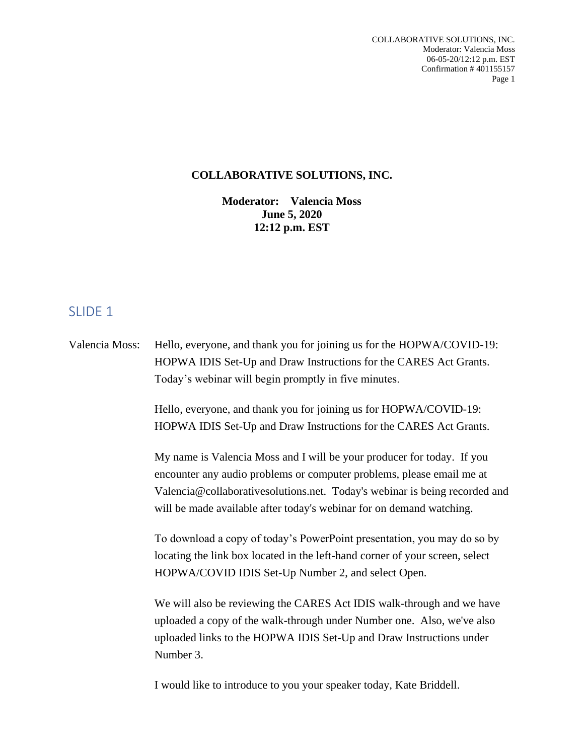#### **COLLABORATIVE SOLUTIONS, INC.**

**Moderator: Valencia Moss June 5, 2020 12:12 p.m. EST**

#### SLIDE 1

Valencia Moss: Hello, everyone, and thank you for joining us for the HOPWA/COVID-19: HOPWA IDIS Set-Up and Draw Instructions for the CARES Act Grants. Today's webinar will begin promptly in five minutes.

> Hello, everyone, and thank you for joining us for HOPWA/COVID-19: HOPWA IDIS Set-Up and Draw Instructions for the CARES Act Grants.

My name is Valencia Moss and I will be your producer for today. If you encounter any audio problems or computer problems, please email me at Valencia@collaborativesolutions.net. Today's webinar is being recorded and will be made available after today's webinar for on demand watching.

To download a copy of today's PowerPoint presentation, you may do so by locating the link box located in the left-hand corner of your screen, select HOPWA/COVID IDIS Set-Up Number 2, and select Open.

We will also be reviewing the CARES Act IDIS walk-through and we have uploaded a copy of the walk-through under Number one. Also, we've also uploaded links to the HOPWA IDIS Set-Up and Draw Instructions under Number 3.

I would like to introduce to you your speaker today, Kate Briddell.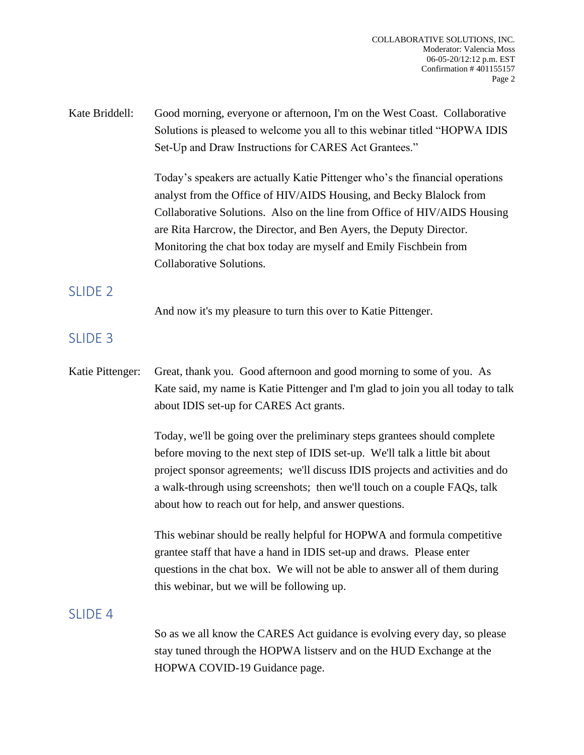| Kate Briddell: | Good morning, everyone or afternoon, I'm on the West Coast. Collaborative   |
|----------------|-----------------------------------------------------------------------------|
|                | Solutions is pleased to welcome you all to this webinar titled "HOPWA IDIS" |
|                | Set-Up and Draw Instructions for CARES Act Grantees."                       |

Today's speakers are actually Katie Pittenger who's the financial operations analyst from the Office of HIV/AIDS Housing, and Becky Blalock from Collaborative Solutions. Also on the line from Office of HIV/AIDS Housing are Rita Harcrow, the Director, and Ben Ayers, the Deputy Director. Monitoring the chat box today are myself and Emily Fischbein from Collaborative Solutions.

## SLIDE<sub>2</sub>

And now it's my pleasure to turn this over to Katie Pittenger.

## SLIDE 3

Katie Pittenger: Great, thank you. Good afternoon and good morning to some of you. As Kate said, my name is Katie Pittenger and I'm glad to join you all today to talk about IDIS set-up for CARES Act grants.

> Today, we'll be going over the preliminary steps grantees should complete before moving to the next step of IDIS set-up. We'll talk a little bit about project sponsor agreements; we'll discuss IDIS projects and activities and do a walk-through using screenshots; then we'll touch on a couple FAQs, talk about how to reach out for help, and answer questions.

This webinar should be really helpful for HOPWA and formula competitive grantee staff that have a hand in IDIS set-up and draws. Please enter questions in the chat box. We will not be able to answer all of them during this webinar, but we will be following up.

## SLIDE<sub>4</sub>

So as we all know the CARES Act guidance is evolving every day, so please stay tuned through the HOPWA listserv and on the HUD Exchange at the HOPWA COVID-19 Guidance page.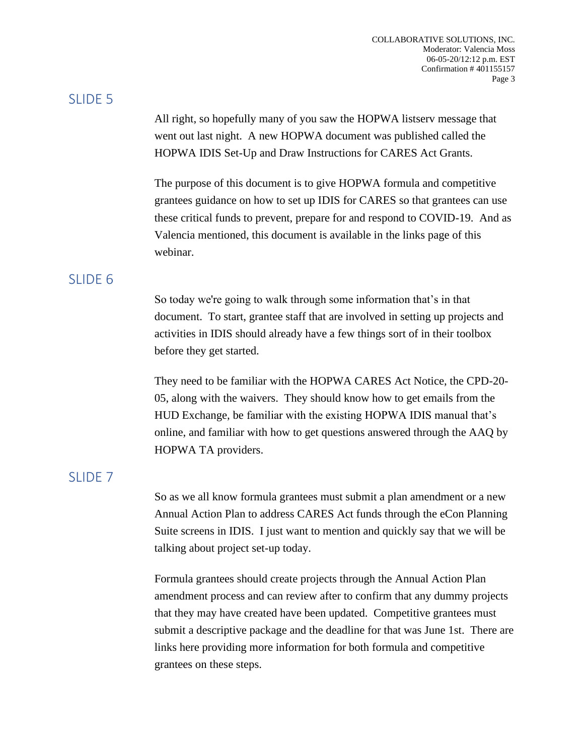#### SLIDE 5

All right, so hopefully many of you saw the HOPWA listserv message that went out last night. A new HOPWA document was published called the HOPWA IDIS Set-Up and Draw Instructions for CARES Act Grants.

The purpose of this document is to give HOPWA formula and competitive grantees guidance on how to set up IDIS for CARES so that grantees can use these critical funds to prevent, prepare for and respond to COVID-19. And as Valencia mentioned, this document is available in the links page of this webinar.

## SLIDE 6

So today we're going to walk through some information that's in that document. To start, grantee staff that are involved in setting up projects and activities in IDIS should already have a few things sort of in their toolbox before they get started.

They need to be familiar with the HOPWA CARES Act Notice, the CPD-20- 05, along with the waivers. They should know how to get emails from the HUD Exchange, be familiar with the existing HOPWA IDIS manual that's online, and familiar with how to get questions answered through the AAQ by HOPWA TA providers.

## SLIDE 7

So as we all know formula grantees must submit a plan amendment or a new Annual Action Plan to address CARES Act funds through the eCon Planning Suite screens in IDIS. I just want to mention and quickly say that we will be talking about project set-up today.

Formula grantees should create projects through the Annual Action Plan amendment process and can review after to confirm that any dummy projects that they may have created have been updated. Competitive grantees must submit a descriptive package and the deadline for that was June 1st. There are links here providing more information for both formula and competitive grantees on these steps.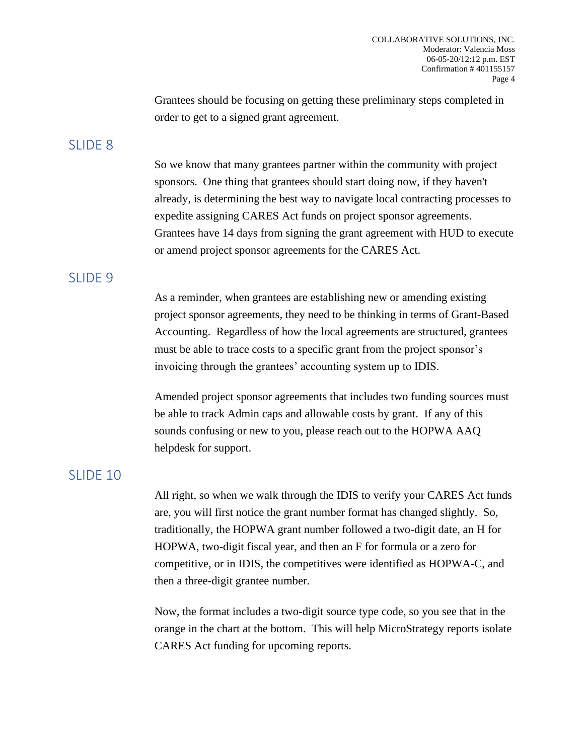Grantees should be focusing on getting these preliminary steps completed in order to get to a signed grant agreement.

#### SLIDE<sub>8</sub>

So we know that many grantees partner within the community with project sponsors. One thing that grantees should start doing now, if they haven't already, is determining the best way to navigate local contracting processes to expedite assigning CARES Act funds on project sponsor agreements. Grantees have 14 days from signing the grant agreement with HUD to execute or amend project sponsor agreements for the CARES Act.

#### SLIDE<sub>9</sub>

As a reminder, when grantees are establishing new or amending existing project sponsor agreements, they need to be thinking in terms of Grant-Based Accounting. Regardless of how the local agreements are structured, grantees must be able to trace costs to a specific grant from the project sponsor's invoicing through the grantees' accounting system up to IDIS.

Amended project sponsor agreements that includes two funding sources must be able to track Admin caps and allowable costs by grant. If any of this sounds confusing or new to you, please reach out to the HOPWA AAQ helpdesk for support.

## SLIDE 10

All right, so when we walk through the IDIS to verify your CARES Act funds are, you will first notice the grant number format has changed slightly. So, traditionally, the HOPWA grant number followed a two-digit date, an H for HOPWA, two-digit fiscal year, and then an F for formula or a zero for competitive, or in IDIS, the competitives were identified as HOPWA-C, and then a three-digit grantee number.

Now, the format includes a two-digit source type code, so you see that in the orange in the chart at the bottom. This will help MicroStrategy reports isolate CARES Act funding for upcoming reports.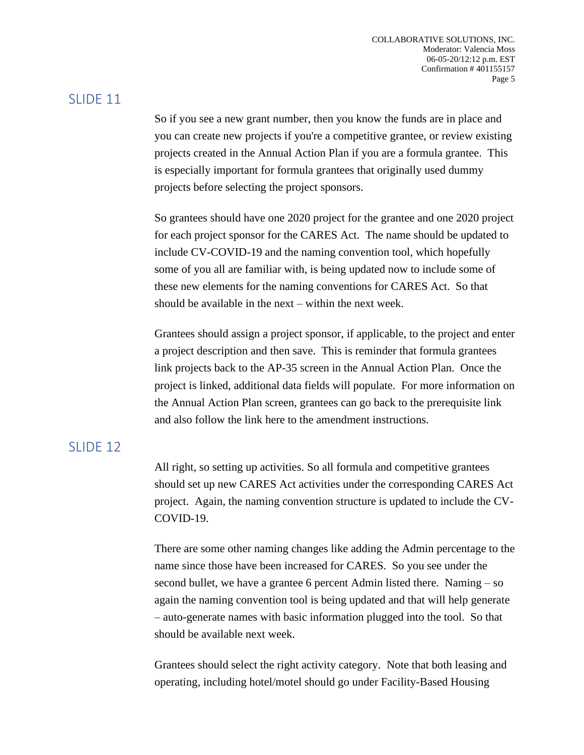## SLIDE 11

So if you see a new grant number, then you know the funds are in place and you can create new projects if you're a competitive grantee, or review existing projects created in the Annual Action Plan if you are a formula grantee. This is especially important for formula grantees that originally used dummy projects before selecting the project sponsors.

So grantees should have one 2020 project for the grantee and one 2020 project for each project sponsor for the CARES Act. The name should be updated to include CV-COVID-19 and the naming convention tool, which hopefully some of you all are familiar with, is being updated now to include some of these new elements for the naming conventions for CARES Act. So that should be available in the next – within the next week.

Grantees should assign a project sponsor, if applicable, to the project and enter a project description and then save. This is reminder that formula grantees link projects back to the AP-35 screen in the Annual Action Plan. Once the project is linked, additional data fields will populate. For more information on the Annual Action Plan screen, grantees can go back to the prerequisite link and also follow the link here to the amendment instructions.

## SLIDE 12

All right, so setting up activities. So all formula and competitive grantees should set up new CARES Act activities under the corresponding CARES Act project. Again, the naming convention structure is updated to include the CV-COVID-19.

There are some other naming changes like adding the Admin percentage to the name since those have been increased for CARES. So you see under the second bullet, we have a grantee 6 percent Admin listed there. Naming – so again the naming convention tool is being updated and that will help generate – auto-generate names with basic information plugged into the tool. So that should be available next week.

Grantees should select the right activity category. Note that both leasing and operating, including hotel/motel should go under Facility-Based Housing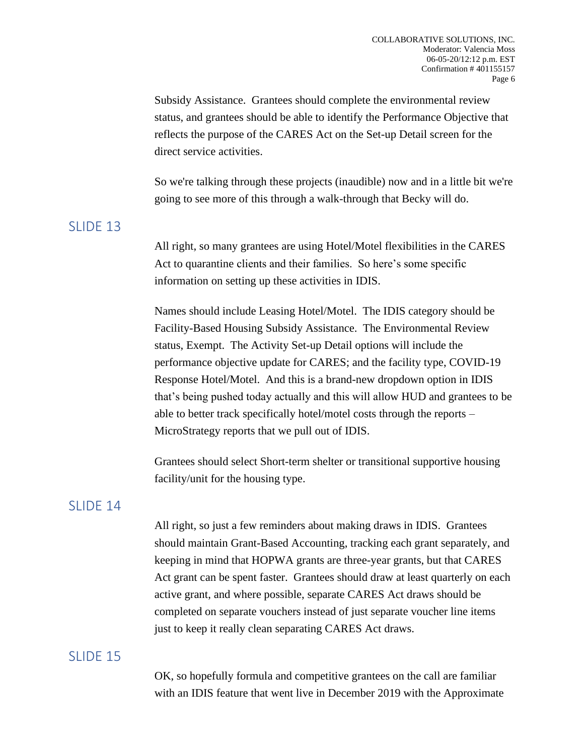Subsidy Assistance. Grantees should complete the environmental review status, and grantees should be able to identify the Performance Objective that reflects the purpose of the CARES Act on the Set-up Detail screen for the direct service activities.

So we're talking through these projects (inaudible) now and in a little bit we're going to see more of this through a walk-through that Becky will do.

#### SLIDE 13

All right, so many grantees are using Hotel/Motel flexibilities in the CARES Act to quarantine clients and their families. So here's some specific information on setting up these activities in IDIS.

Names should include Leasing Hotel/Motel. The IDIS category should be Facility-Based Housing Subsidy Assistance. The Environmental Review status, Exempt. The Activity Set-up Detail options will include the performance objective update for CARES; and the facility type, COVID-19 Response Hotel/Motel. And this is a brand-new dropdown option in IDIS that's being pushed today actually and this will allow HUD and grantees to be able to better track specifically hotel/motel costs through the reports – MicroStrategy reports that we pull out of IDIS.

Grantees should select Short-term shelter or transitional supportive housing facility/unit for the housing type.

#### SLIDE 14

All right, so just a few reminders about making draws in IDIS. Grantees should maintain Grant-Based Accounting, tracking each grant separately, and keeping in mind that HOPWA grants are three-year grants, but that CARES Act grant can be spent faster. Grantees should draw at least quarterly on each active grant, and where possible, separate CARES Act draws should be completed on separate vouchers instead of just separate voucher line items just to keep it really clean separating CARES Act draws.

## SLIDE 15

OK, so hopefully formula and competitive grantees on the call are familiar with an IDIS feature that went live in December 2019 with the Approximate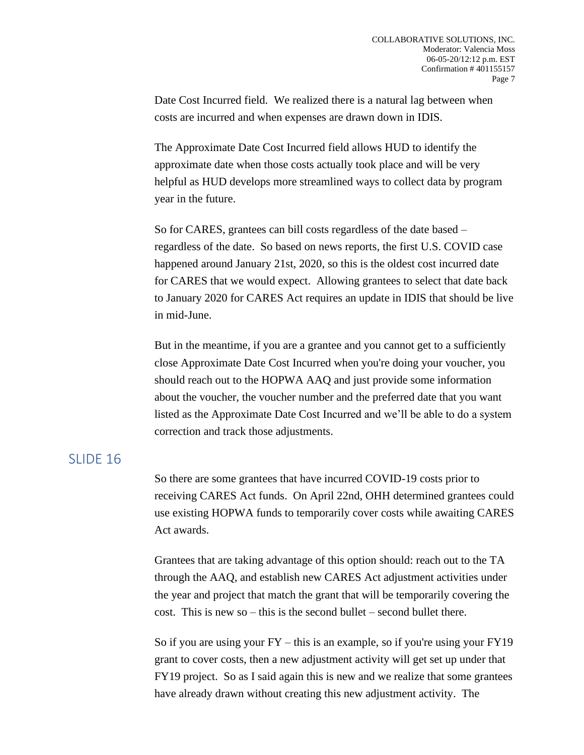Date Cost Incurred field. We realized there is a natural lag between when costs are incurred and when expenses are drawn down in IDIS.

The Approximate Date Cost Incurred field allows HUD to identify the approximate date when those costs actually took place and will be very helpful as HUD develops more streamlined ways to collect data by program year in the future.

So for CARES, grantees can bill costs regardless of the date based – regardless of the date. So based on news reports, the first U.S. COVID case happened around January 21st, 2020, so this is the oldest cost incurred date for CARES that we would expect. Allowing grantees to select that date back to January 2020 for CARES Act requires an update in IDIS that should be live in mid-June.

But in the meantime, if you are a grantee and you cannot get to a sufficiently close Approximate Date Cost Incurred when you're doing your voucher, you should reach out to the HOPWA AAQ and just provide some information about the voucher, the voucher number and the preferred date that you want listed as the Approximate Date Cost Incurred and we'll be able to do a system correction and track those adjustments.

#### SLIDE 16

So there are some grantees that have incurred COVID-19 costs prior to receiving CARES Act funds. On April 22nd, OHH determined grantees could use existing HOPWA funds to temporarily cover costs while awaiting CARES Act awards.

Grantees that are taking advantage of this option should: reach out to the TA through the AAQ, and establish new CARES Act adjustment activities under the year and project that match the grant that will be temporarily covering the cost. This is new so – this is the second bullet – second bullet there.

So if you are using your  $FY$  – this is an example, so if you're using your  $FY19$ grant to cover costs, then a new adjustment activity will get set up under that FY19 project. So as I said again this is new and we realize that some grantees have already drawn without creating this new adjustment activity. The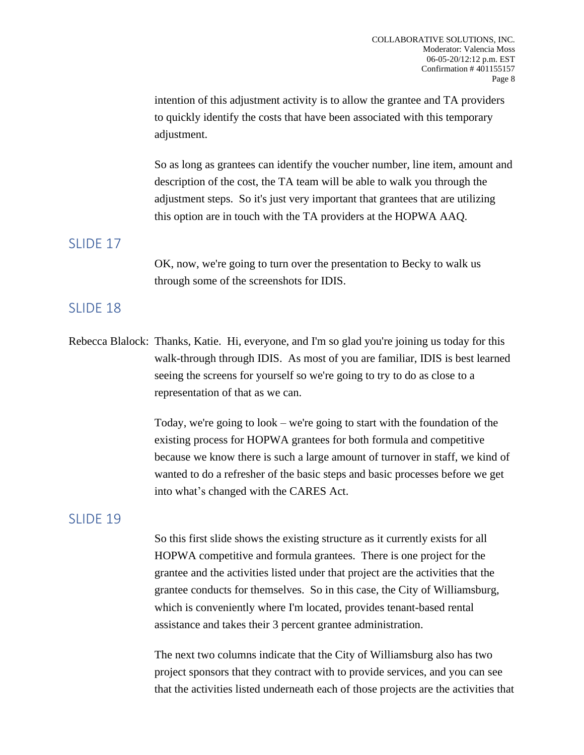intention of this adjustment activity is to allow the grantee and TA providers to quickly identify the costs that have been associated with this temporary adjustment.

So as long as grantees can identify the voucher number, line item, amount and description of the cost, the TA team will be able to walk you through the adjustment steps. So it's just very important that grantees that are utilizing this option are in touch with the TA providers at the HOPWA AAQ.

#### SLIDE 17

OK, now, we're going to turn over the presentation to Becky to walk us through some of the screenshots for IDIS.

#### SLIDE 18

Rebecca Blalock: Thanks, Katie. Hi, everyone, and I'm so glad you're joining us today for this walk-through through IDIS. As most of you are familiar, IDIS is best learned seeing the screens for yourself so we're going to try to do as close to a representation of that as we can.

> Today, we're going to look – we're going to start with the foundation of the existing process for HOPWA grantees for both formula and competitive because we know there is such a large amount of turnover in staff, we kind of wanted to do a refresher of the basic steps and basic processes before we get into what's changed with the CARES Act.

## SLIDE 19

So this first slide shows the existing structure as it currently exists for all HOPWA competitive and formula grantees. There is one project for the grantee and the activities listed under that project are the activities that the grantee conducts for themselves. So in this case, the City of Williamsburg, which is conveniently where I'm located, provides tenant-based rental assistance and takes their 3 percent grantee administration.

The next two columns indicate that the City of Williamsburg also has two project sponsors that they contract with to provide services, and you can see that the activities listed underneath each of those projects are the activities that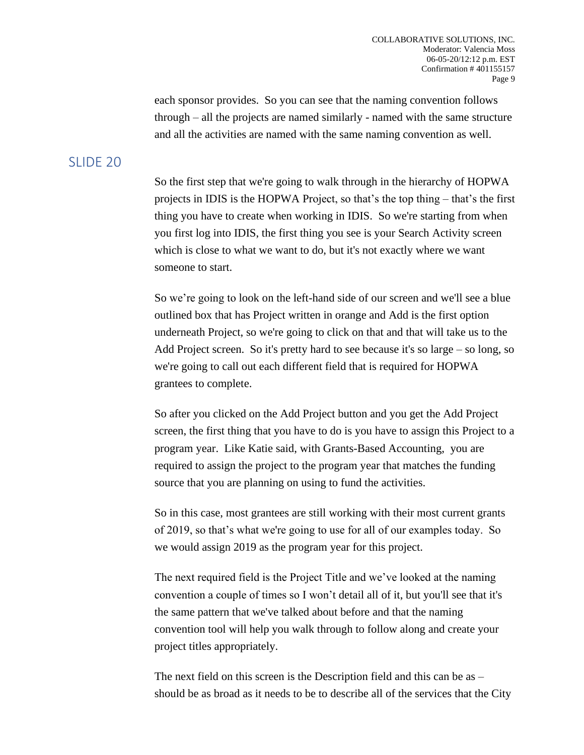each sponsor provides. So you can see that the naming convention follows through – all the projects are named similarly - named with the same structure and all the activities are named with the same naming convention as well.

## SLIDE 20

So the first step that we're going to walk through in the hierarchy of HOPWA projects in IDIS is the HOPWA Project, so that's the top thing – that's the first thing you have to create when working in IDIS. So we're starting from when you first log into IDIS, the first thing you see is your Search Activity screen which is close to what we want to do, but it's not exactly where we want someone to start.

So we're going to look on the left-hand side of our screen and we'll see a blue outlined box that has Project written in orange and Add is the first option underneath Project, so we're going to click on that and that will take us to the Add Project screen. So it's pretty hard to see because it's so large – so long, so we're going to call out each different field that is required for HOPWA grantees to complete.

So after you clicked on the Add Project button and you get the Add Project screen, the first thing that you have to do is you have to assign this Project to a program year. Like Katie said, with Grants-Based Accounting, you are required to assign the project to the program year that matches the funding source that you are planning on using to fund the activities.

So in this case, most grantees are still working with their most current grants of 2019, so that's what we're going to use for all of our examples today. So we would assign 2019 as the program year for this project.

The next required field is the Project Title and we've looked at the naming convention a couple of times so I won't detail all of it, but you'll see that it's the same pattern that we've talked about before and that the naming convention tool will help you walk through to follow along and create your project titles appropriately.

The next field on this screen is the Description field and this can be as – should be as broad as it needs to be to describe all of the services that the City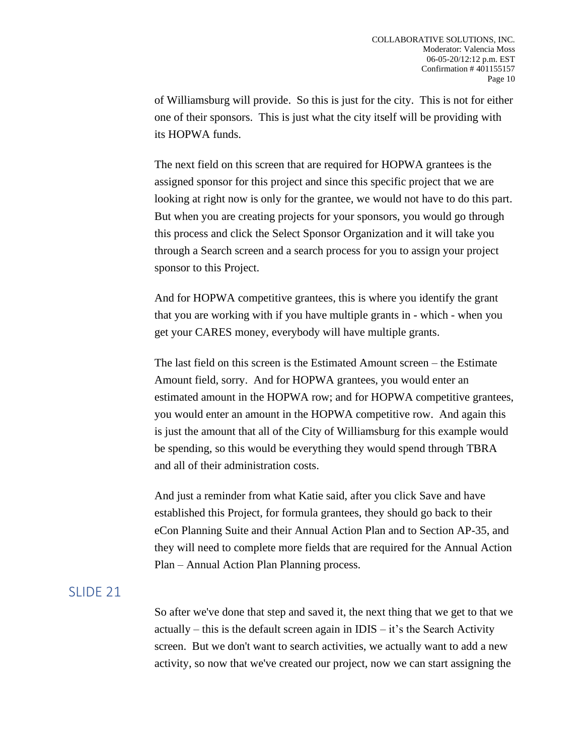of Williamsburg will provide. So this is just for the city. This is not for either one of their sponsors. This is just what the city itself will be providing with its HOPWA funds.

The next field on this screen that are required for HOPWA grantees is the assigned sponsor for this project and since this specific project that we are looking at right now is only for the grantee, we would not have to do this part. But when you are creating projects for your sponsors, you would go through this process and click the Select Sponsor Organization and it will take you through a Search screen and a search process for you to assign your project sponsor to this Project.

And for HOPWA competitive grantees, this is where you identify the grant that you are working with if you have multiple grants in - which - when you get your CARES money, everybody will have multiple grants.

The last field on this screen is the Estimated Amount screen – the Estimate Amount field, sorry. And for HOPWA grantees, you would enter an estimated amount in the HOPWA row; and for HOPWA competitive grantees, you would enter an amount in the HOPWA competitive row. And again this is just the amount that all of the City of Williamsburg for this example would be spending, so this would be everything they would spend through TBRA and all of their administration costs.

And just a reminder from what Katie said, after you click Save and have established this Project, for formula grantees, they should go back to their eCon Planning Suite and their Annual Action Plan and to Section AP-35, and they will need to complete more fields that are required for the Annual Action Plan – Annual Action Plan Planning process.

#### SLIDE 21

So after we've done that step and saved it, the next thing that we get to that we actually – this is the default screen again in  $IDIS - it's$  the Search Activity screen. But we don't want to search activities, we actually want to add a new activity, so now that we've created our project, now we can start assigning the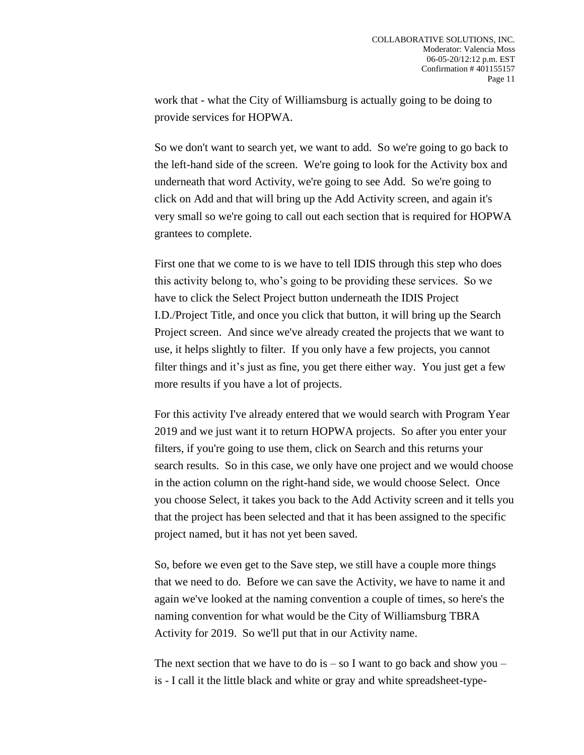work that - what the City of Williamsburg is actually going to be doing to provide services for HOPWA.

So we don't want to search yet, we want to add. So we're going to go back to the left-hand side of the screen. We're going to look for the Activity box and underneath that word Activity, we're going to see Add. So we're going to click on Add and that will bring up the Add Activity screen, and again it's very small so we're going to call out each section that is required for HOPWA grantees to complete.

First one that we come to is we have to tell IDIS through this step who does this activity belong to, who's going to be providing these services. So we have to click the Select Project button underneath the IDIS Project I.D./Project Title, and once you click that button, it will bring up the Search Project screen. And since we've already created the projects that we want to use, it helps slightly to filter. If you only have a few projects, you cannot filter things and it's just as fine, you get there either way. You just get a few more results if you have a lot of projects.

For this activity I've already entered that we would search with Program Year 2019 and we just want it to return HOPWA projects. So after you enter your filters, if you're going to use them, click on Search and this returns your search results. So in this case, we only have one project and we would choose in the action column on the right-hand side, we would choose Select. Once you choose Select, it takes you back to the Add Activity screen and it tells you that the project has been selected and that it has been assigned to the specific project named, but it has not yet been saved.

So, before we even get to the Save step, we still have a couple more things that we need to do. Before we can save the Activity, we have to name it and again we've looked at the naming convention a couple of times, so here's the naming convention for what would be the City of Williamsburg TBRA Activity for 2019. So we'll put that in our Activity name.

The next section that we have to do is  $-$  so I want to go back and show you  $$ is - I call it the little black and white or gray and white spreadsheet-type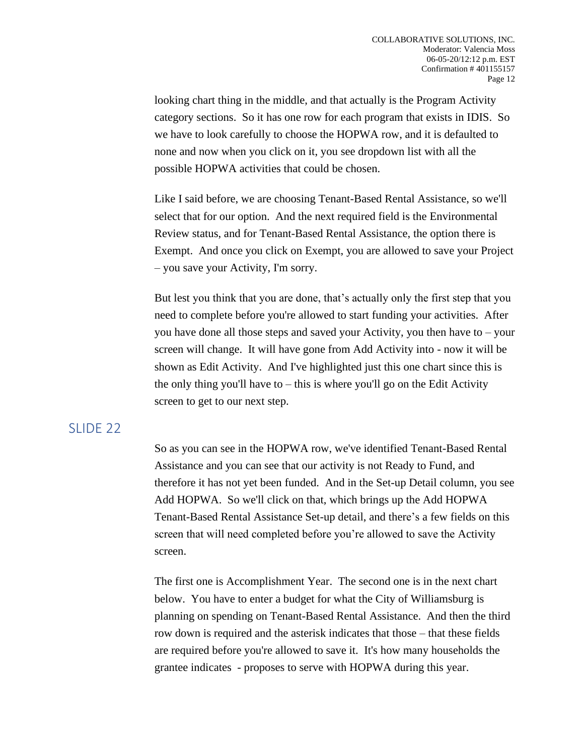looking chart thing in the middle, and that actually is the Program Activity category sections. So it has one row for each program that exists in IDIS. So we have to look carefully to choose the HOPWA row, and it is defaulted to none and now when you click on it, you see dropdown list with all the possible HOPWA activities that could be chosen.

Like I said before, we are choosing Tenant-Based Rental Assistance, so we'll select that for our option. And the next required field is the Environmental Review status, and for Tenant-Based Rental Assistance, the option there is Exempt. And once you click on Exempt, you are allowed to save your Project – you save your Activity, I'm sorry.

But lest you think that you are done, that's actually only the first step that you need to complete before you're allowed to start funding your activities. After you have done all those steps and saved your Activity, you then have to – your screen will change. It will have gone from Add Activity into - now it will be shown as Edit Activity. And I've highlighted just this one chart since this is the only thing you'll have to  $-$  this is where you'll go on the Edit Activity screen to get to our next step.

## SLIDE 22

So as you can see in the HOPWA row, we've identified Tenant-Based Rental Assistance and you can see that our activity is not Ready to Fund, and therefore it has not yet been funded. And in the Set-up Detail column, you see Add HOPWA. So we'll click on that, which brings up the Add HOPWA Tenant-Based Rental Assistance Set-up detail, and there's a few fields on this screen that will need completed before you're allowed to save the Activity screen.

The first one is Accomplishment Year. The second one is in the next chart below. You have to enter a budget for what the City of Williamsburg is planning on spending on Tenant-Based Rental Assistance. And then the third row down is required and the asterisk indicates that those – that these fields are required before you're allowed to save it. It's how many households the grantee indicates - proposes to serve with HOPWA during this year.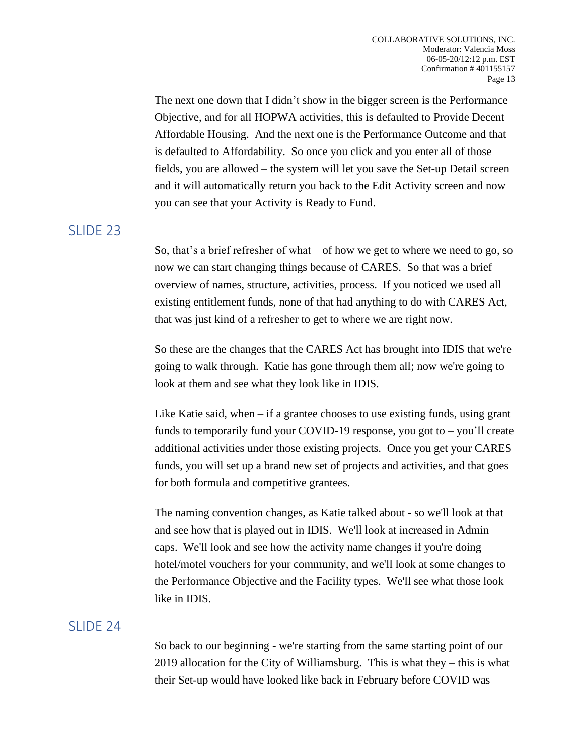The next one down that I didn't show in the bigger screen is the Performance Objective, and for all HOPWA activities, this is defaulted to Provide Decent Affordable Housing. And the next one is the Performance Outcome and that is defaulted to Affordability. So once you click and you enter all of those fields, you are allowed – the system will let you save the Set-up Detail screen and it will automatically return you back to the Edit Activity screen and now you can see that your Activity is Ready to Fund.

## SLIDE<sub>23</sub>

So, that's a brief refresher of what – of how we get to where we need to go, so now we can start changing things because of CARES. So that was a brief overview of names, structure, activities, process. If you noticed we used all existing entitlement funds, none of that had anything to do with CARES Act, that was just kind of a refresher to get to where we are right now.

So these are the changes that the CARES Act has brought into IDIS that we're going to walk through. Katie has gone through them all; now we're going to look at them and see what they look like in IDIS.

Like Katie said, when – if a grantee chooses to use existing funds, using grant funds to temporarily fund your COVID-19 response, you got to  $-$  you'll create additional activities under those existing projects. Once you get your CARES funds, you will set up a brand new set of projects and activities, and that goes for both formula and competitive grantees.

The naming convention changes, as Katie talked about - so we'll look at that and see how that is played out in IDIS. We'll look at increased in Admin caps. We'll look and see how the activity name changes if you're doing hotel/motel vouchers for your community, and we'll look at some changes to the Performance Objective and the Facility types. We'll see what those look like in IDIS.

## SLIDE 24

So back to our beginning - we're starting from the same starting point of our 2019 allocation for the City of Williamsburg. This is what they – this is what their Set-up would have looked like back in February before COVID was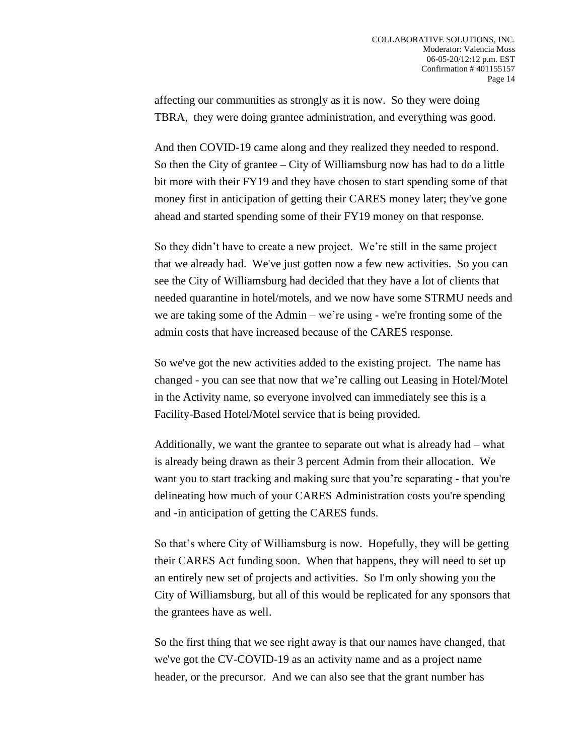affecting our communities as strongly as it is now. So they were doing TBRA, they were doing grantee administration, and everything was good.

And then COVID-19 came along and they realized they needed to respond. So then the City of grantee – City of Williamsburg now has had to do a little bit more with their FY19 and they have chosen to start spending some of that money first in anticipation of getting their CARES money later; they've gone ahead and started spending some of their FY19 money on that response.

So they didn't have to create a new project. We're still in the same project that we already had. We've just gotten now a few new activities. So you can see the City of Williamsburg had decided that they have a lot of clients that needed quarantine in hotel/motels, and we now have some STRMU needs and we are taking some of the Admin – we're using - we're fronting some of the admin costs that have increased because of the CARES response.

So we've got the new activities added to the existing project. The name has changed - you can see that now that we're calling out Leasing in Hotel/Motel in the Activity name, so everyone involved can immediately see this is a Facility-Based Hotel/Motel service that is being provided.

Additionally, we want the grantee to separate out what is already had – what is already being drawn as their 3 percent Admin from their allocation. We want you to start tracking and making sure that you're separating - that you're delineating how much of your CARES Administration costs you're spending and -in anticipation of getting the CARES funds.

So that's where City of Williamsburg is now. Hopefully, they will be getting their CARES Act funding soon. When that happens, they will need to set up an entirely new set of projects and activities. So I'm only showing you the City of Williamsburg, but all of this would be replicated for any sponsors that the grantees have as well.

So the first thing that we see right away is that our names have changed, that we've got the CV-COVID-19 as an activity name and as a project name header, or the precursor. And we can also see that the grant number has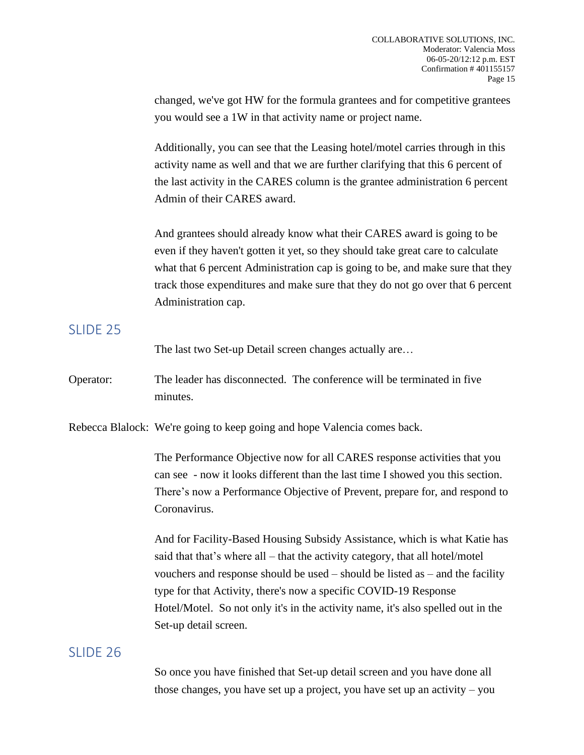changed, we've got HW for the formula grantees and for competitive grantees you would see a 1W in that activity name or project name.

Additionally, you can see that the Leasing hotel/motel carries through in this activity name as well and that we are further clarifying that this 6 percent of the last activity in the CARES column is the grantee administration 6 percent Admin of their CARES award.

And grantees should already know what their CARES award is going to be even if they haven't gotten it yet, so they should take great care to calculate what that 6 percent Administration cap is going to be, and make sure that they track those expenditures and make sure that they do not go over that 6 percent Administration cap.

#### SLIDE 25

The last two Set-up Detail screen changes actually are…

Operator: The leader has disconnected. The conference will be terminated in five minutes.

Rebecca Blalock: We're going to keep going and hope Valencia comes back.

The Performance Objective now for all CARES response activities that you can see - now it looks different than the last time I showed you this section. There's now a Performance Objective of Prevent, prepare for, and respond to Coronavirus.

And for Facility-Based Housing Subsidy Assistance, which is what Katie has said that that's where all – that the activity category, that all hotel/motel vouchers and response should be used – should be listed as – and the facility type for that Activity, there's now a specific COVID-19 Response Hotel/Motel. So not only it's in the activity name, it's also spelled out in the Set-up detail screen.

## SLIDE 26

So once you have finished that Set-up detail screen and you have done all those changes, you have set up a project, you have set up an activity – you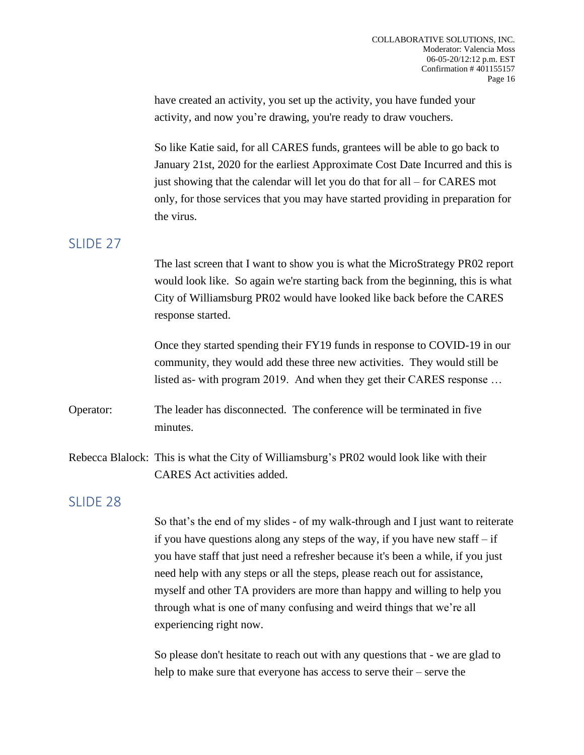have created an activity, you set up the activity, you have funded your activity, and now you're drawing, you're ready to draw vouchers.

So like Katie said, for all CARES funds, grantees will be able to go back to January 21st, 2020 for the earliest Approximate Cost Date Incurred and this is just showing that the calendar will let you do that for all – for CARES mot only, for those services that you may have started providing in preparation for the virus.

## SLIDE 27

The last screen that I want to show you is what the MicroStrategy PR02 report would look like. So again we're starting back from the beginning, this is what City of Williamsburg PR02 would have looked like back before the CARES response started.

Once they started spending their FY19 funds in response to COVID-19 in our community, they would add these three new activities. They would still be listed as- with program 2019. And when they get their CARES response …

Operator: The leader has disconnected. The conference will be terminated in five minutes.

Rebecca Blalock: This is what the City of Williamsburg's PR02 would look like with their CARES Act activities added.

## SLIDE 28

So that's the end of my slides - of my walk-through and I just want to reiterate if you have questions along any steps of the way, if you have new staff – if you have staff that just need a refresher because it's been a while, if you just need help with any steps or all the steps, please reach out for assistance, myself and other TA providers are more than happy and willing to help you through what is one of many confusing and weird things that we're all experiencing right now.

So please don't hesitate to reach out with any questions that - we are glad to help to make sure that everyone has access to serve their – serve the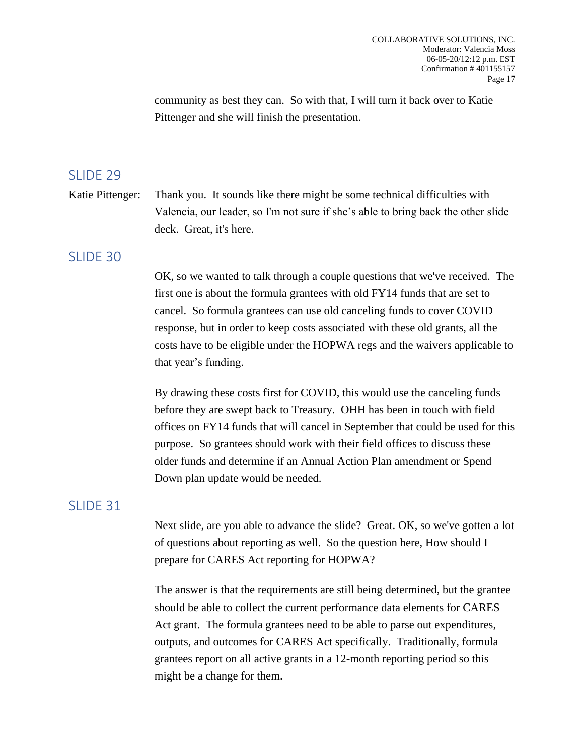community as best they can. So with that, I will turn it back over to Katie Pittenger and she will finish the presentation.

#### SLIDE 29

Katie Pittenger: Thank you. It sounds like there might be some technical difficulties with Valencia, our leader, so I'm not sure if she's able to bring back the other slide deck. Great, it's here.

#### SLIDE 30

OK, so we wanted to talk through a couple questions that we've received. The first one is about the formula grantees with old FY14 funds that are set to cancel. So formula grantees can use old canceling funds to cover COVID response, but in order to keep costs associated with these old grants, all the costs have to be eligible under the HOPWA regs and the waivers applicable to that year's funding.

By drawing these costs first for COVID, this would use the canceling funds before they are swept back to Treasury. OHH has been in touch with field offices on FY14 funds that will cancel in September that could be used for this purpose. So grantees should work with their field offices to discuss these older funds and determine if an Annual Action Plan amendment or Spend Down plan update would be needed.

#### SLIDE 31

Next slide, are you able to advance the slide? Great. OK, so we've gotten a lot of questions about reporting as well. So the question here, How should I prepare for CARES Act reporting for HOPWA?

The answer is that the requirements are still being determined, but the grantee should be able to collect the current performance data elements for CARES Act grant. The formula grantees need to be able to parse out expenditures, outputs, and outcomes for CARES Act specifically. Traditionally, formula grantees report on all active grants in a 12-month reporting period so this might be a change for them.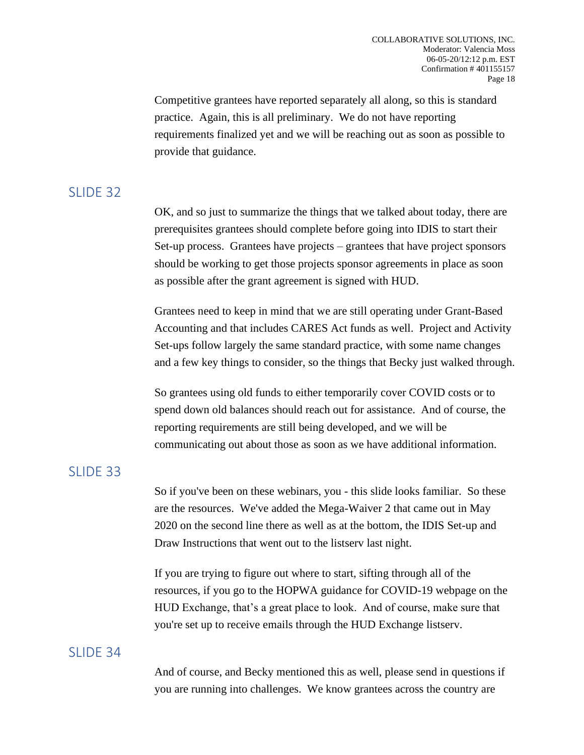Competitive grantees have reported separately all along, so this is standard practice. Again, this is all preliminary. We do not have reporting requirements finalized yet and we will be reaching out as soon as possible to provide that guidance.

# SLIDE 32

OK, and so just to summarize the things that we talked about today, there are prerequisites grantees should complete before going into IDIS to start their Set-up process. Grantees have projects – grantees that have project sponsors should be working to get those projects sponsor agreements in place as soon as possible after the grant agreement is signed with HUD.

Grantees need to keep in mind that we are still operating under Grant-Based Accounting and that includes CARES Act funds as well. Project and Activity Set-ups follow largely the same standard practice, with some name changes and a few key things to consider, so the things that Becky just walked through.

So grantees using old funds to either temporarily cover COVID costs or to spend down old balances should reach out for assistance. And of course, the reporting requirements are still being developed, and we will be communicating out about those as soon as we have additional information.

## SLIDE 33

So if you've been on these webinars, you - this slide looks familiar. So these are the resources. We've added the Mega-Waiver 2 that came out in May 2020 on the second line there as well as at the bottom, the IDIS Set-up and Draw Instructions that went out to the listserv last night.

If you are trying to figure out where to start, sifting through all of the resources, if you go to the HOPWA guidance for COVID-19 webpage on the HUD Exchange, that's a great place to look. And of course, make sure that you're set up to receive emails through the HUD Exchange listserv.

## SLIDE 34

And of course, and Becky mentioned this as well, please send in questions if you are running into challenges. We know grantees across the country are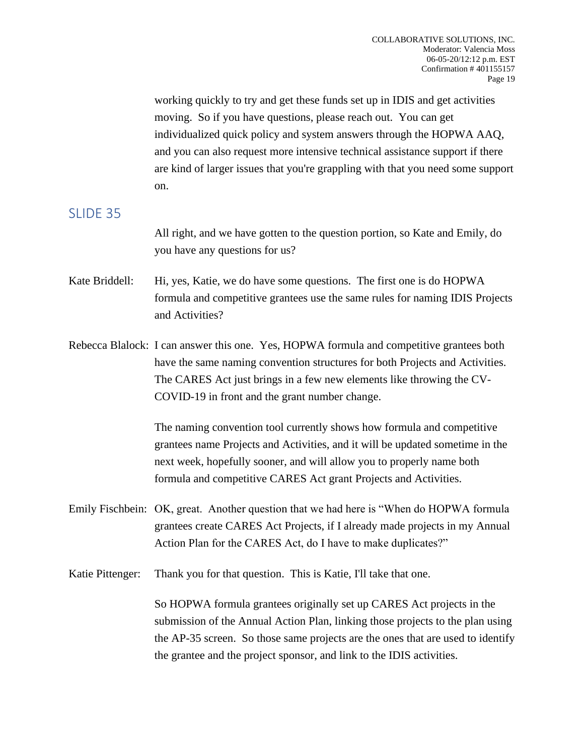working quickly to try and get these funds set up in IDIS and get activities moving. So if you have questions, please reach out. You can get individualized quick policy and system answers through the HOPWA AAQ, and you can also request more intensive technical assistance support if there are kind of larger issues that you're grappling with that you need some support on.

## SLIDE 35

All right, and we have gotten to the question portion, so Kate and Emily, do you have any questions for us?

- Kate Briddell: Hi, yes, Katie, we do have some questions. The first one is do HOPWA formula and competitive grantees use the same rules for naming IDIS Projects and Activities?
- Rebecca Blalock: I can answer this one. Yes, HOPWA formula and competitive grantees both have the same naming convention structures for both Projects and Activities. The CARES Act just brings in a few new elements like throwing the CV-COVID-19 in front and the grant number change.

The naming convention tool currently shows how formula and competitive grantees name Projects and Activities, and it will be updated sometime in the next week, hopefully sooner, and will allow you to properly name both formula and competitive CARES Act grant Projects and Activities.

Emily Fischbein: OK, great. Another question that we had here is "When do HOPWA formula grantees create CARES Act Projects, if I already made projects in my Annual Action Plan for the CARES Act, do I have to make duplicates?"

Katie Pittenger: Thank you for that question. This is Katie, I'll take that one.

So HOPWA formula grantees originally set up CARES Act projects in the submission of the Annual Action Plan, linking those projects to the plan using the AP-35 screen. So those same projects are the ones that are used to identify the grantee and the project sponsor, and link to the IDIS activities.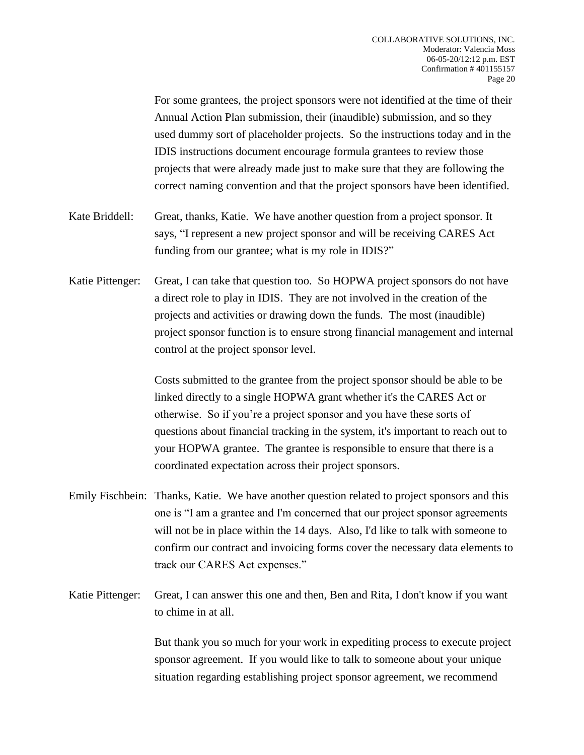For some grantees, the project sponsors were not identified at the time of their Annual Action Plan submission, their (inaudible) submission, and so they used dummy sort of placeholder projects. So the instructions today and in the IDIS instructions document encourage formula grantees to review those projects that were already made just to make sure that they are following the correct naming convention and that the project sponsors have been identified. Kate Briddell: Great, thanks, Katie. We have another question from a project sponsor. It says, "I represent a new project sponsor and will be receiving CARES Act funding from our grantee; what is my role in IDIS?" Katie Pittenger: Great, I can take that question too. So HOPWA project sponsors do not have a direct role to play in IDIS. They are not involved in the creation of the projects and activities or drawing down the funds. The most (inaudible) project sponsor function is to ensure strong financial management and internal control at the project sponsor level. Costs submitted to the grantee from the project sponsor should be able to be linked directly to a single HOPWA grant whether it's the CARES Act or otherwise. So if you're a project sponsor and you have these sorts of questions about financial tracking in the system, it's important to reach out to your HOPWA grantee. The grantee is responsible to ensure that there is a coordinated expectation across their project sponsors. Emily Fischbein: Thanks, Katie. We have another question related to project sponsors and this one is "I am a grantee and I'm concerned that our project sponsor agreements

- will not be in place within the 14 days. Also, I'd like to talk with some one to confirm our contract and invoicing forms cover the necessary data elements to track our CARES Act expenses."
- Katie Pittenger: Great, I can answer this one and then, Ben and Rita, I don't know if you want to chime in at all.

But thank you so much for your work in expediting process to execute project sponsor agreement. If you would like to talk to someone about your unique situation regarding establishing project sponsor agreement, we recommend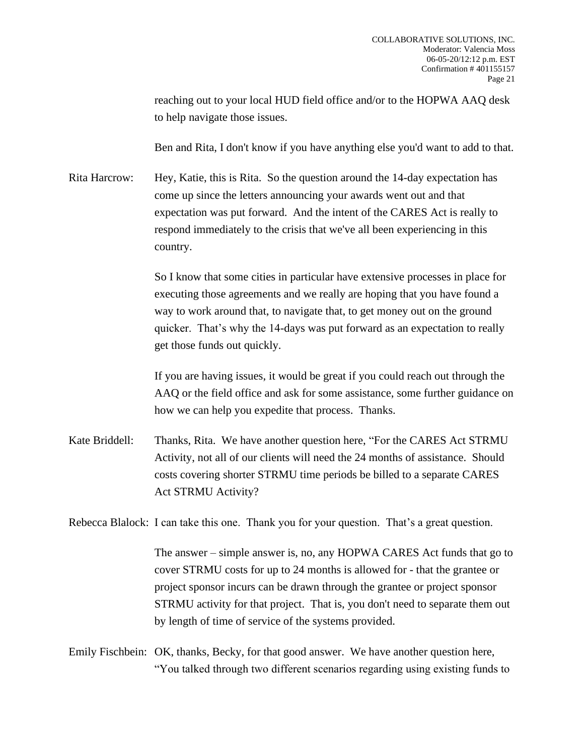reaching out to your local HUD field office and/or to the HOPWA AAQ desk to help navigate those issues.

Ben and Rita, I don't know if you have anything else you'd want to add to that.

Rita Harcrow: Hey, Katie, this is Rita. So the question around the 14-day expectation has come up since the letters announcing your awards went out and that expectation was put forward. And the intent of the CARES Act is really to respond immediately to the crisis that we've all been experiencing in this country.

> So I know that some cities in particular have extensive processes in place for executing those agreements and we really are hoping that you have found a way to work around that, to navigate that, to get money out on the ground quicker. That's why the 14-days was put forward as an expectation to really get those funds out quickly.

If you are having issues, it would be great if you could reach out through the AAQ or the field office and ask for some assistance, some further guidance on how we can help you expedite that process. Thanks.

Kate Briddell: Thanks, Rita. We have another question here, "For the CARES Act STRMU Activity, not all of our clients will need the 24 months of assistance. Should costs covering shorter STRMU time periods be billed to a separate CARES Act STRMU Activity?

Rebecca Blalock: I can take this one. Thank you for your question. That's a great question.

The answer – simple answer is, no, any HOPWA CARES Act funds that go to cover STRMU costs for up to 24 months is allowed for - that the grantee or project sponsor incurs can be drawn through the grantee or project sponsor STRMU activity for that project. That is, you don't need to separate them out by length of time of service of the systems provided.

Emily Fischbein: OK, thanks, Becky, for that good answer. We have another question here, "You talked through two different scenarios regarding using existing funds to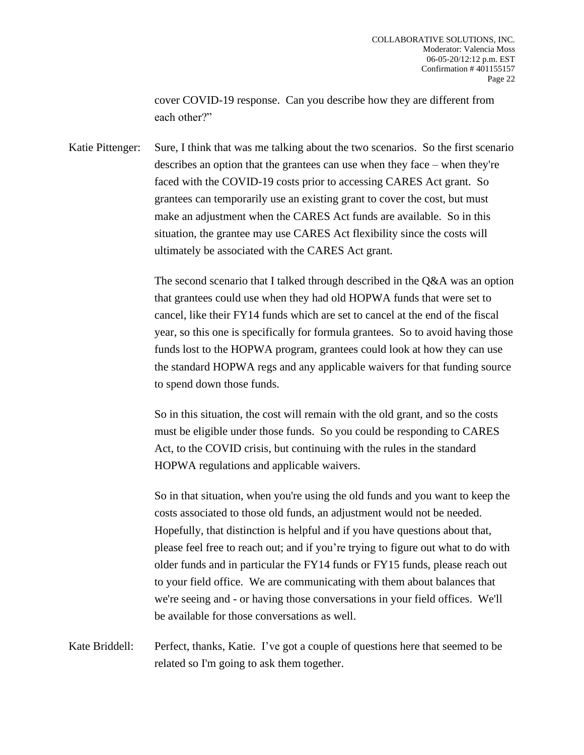cover COVID-19 response. Can you describe how they are different from each other?"

Katie Pittenger: Sure, I think that was me talking about the two scenarios. So the first scenario describes an option that the grantees can use when they face – when they're faced with the COVID-19 costs prior to accessing CARES Act grant. So grantees can temporarily use an existing grant to cover the cost, but must make an adjustment when the CARES Act funds are available. So in this situation, the grantee may use CARES Act flexibility since the costs will ultimately be associated with the CARES Act grant.

> The second scenario that I talked through described in the Q&A was an option that grantees could use when they had old HOPWA funds that were set to cancel, like their FY14 funds which are set to cancel at the end of the fiscal year, so this one is specifically for formula grantees. So to avoid having those funds lost to the HOPWA program, grantees could look at how they can use the standard HOPWA regs and any applicable waivers for that funding source to spend down those funds.

So in this situation, the cost will remain with the old grant, and so the costs must be eligible under those funds. So you could be responding to CARES Act, to the COVID crisis, but continuing with the rules in the standard HOPWA regulations and applicable waivers.

So in that situation, when you're using the old funds and you want to keep the costs associated to those old funds, an adjustment would not be needed. Hopefully, that distinction is helpful and if you have questions about that, please feel free to reach out; and if you're trying to figure out what to do with older funds and in particular the FY14 funds or FY15 funds, please reach out to your field office. We are communicating with them about balances that we're seeing and - or having those conversations in your field offices. We'll be available for those conversations as well.

Kate Briddell: Perfect, thanks, Katie. I've got a couple of questions here that seemed to be related so I'm going to ask them together.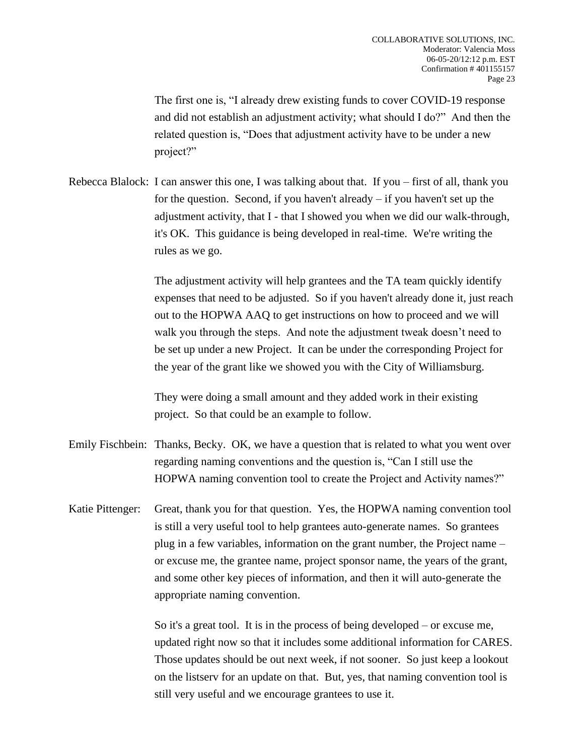The first one is, "I already drew existing funds to cover COVID-19 response and did not establish an adjustment activity; what should I do?" And then the related question is, "Does that adjustment activity have to be under a new project?"

Rebecca Blalock: I can answer this one, I was talking about that. If you – first of all, thank you for the question. Second, if you haven't already – if you haven't set up the adjustment activity, that I - that I showed you when we did our walk-through, it's OK. This guidance is being developed in real-time. We're writing the rules as we go.

> The adjustment activity will help grantees and the TA team quickly identify expenses that need to be adjusted. So if you haven't already done it, just reach out to the HOPWA AAQ to get instructions on how to proceed and we will walk you through the steps. And note the adjustment tweak doesn't need to be set up under a new Project. It can be under the corresponding Project for the year of the grant like we showed you with the City of Williamsburg.

They were doing a small amount and they added work in their existing project. So that could be an example to follow.

- Emily Fischbein: Thanks, Becky. OK, we have a question that is related to what you went over regarding naming conventions and the question is, "Can I still use the HOPWA naming convention tool to create the Project and Activity names?"
- Katie Pittenger: Great, thank you for that question. Yes, the HOPWA naming convention tool is still a very useful tool to help grantees auto-generate names. So grantees plug in a few variables, information on the grant number, the Project name – or excuse me, the grantee name, project sponsor name, the years of the grant, and some other key pieces of information, and then it will auto-generate the appropriate naming convention.

So it's a great tool. It is in the process of being developed – or excuse me, updated right now so that it includes some additional information for CARES. Those updates should be out next week, if not sooner. So just keep a lookout on the listserv for an update on that. But, yes, that naming convention tool is still very useful and we encourage grantees to use it.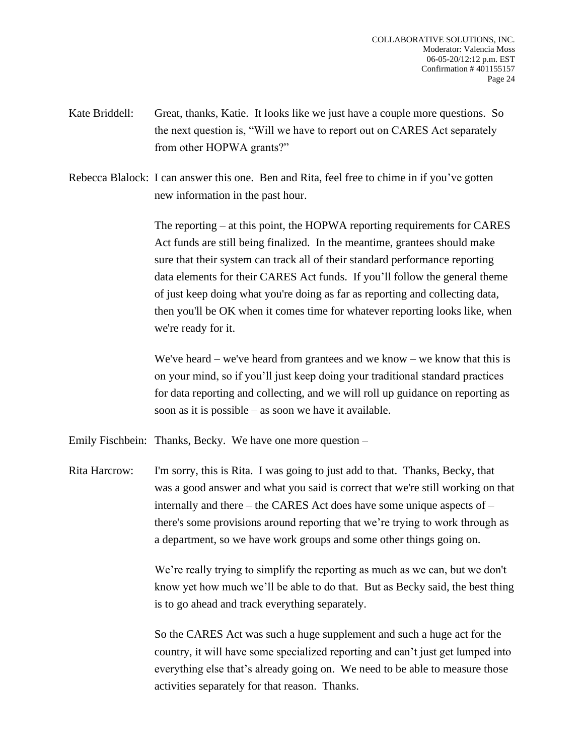- Kate Briddell: Great, thanks, Katie. It looks like we just have a couple more questions. So the next question is, "Will we have to report out on CARES Act separately from other HOPWA grants?"
- Rebecca Blalock: I can answer this one. Ben and Rita, feel free to chime in if you've gotten new information in the past hour.

The reporting – at this point, the HOPWA reporting requirements for CARES Act funds are still being finalized. In the meantime, grantees should make sure that their system can track all of their standard performance reporting data elements for their CARES Act funds. If you'll follow the general theme of just keep doing what you're doing as far as reporting and collecting data, then you'll be OK when it comes time for whatever reporting looks like, when we're ready for it.

We've heard – we've heard from grantees and we know – we know that this is on your mind, so if you'll just keep doing your traditional standard practices for data reporting and collecting, and we will roll up guidance on reporting as soon as it is possible – as soon we have it available.

Emily Fischbein: Thanks, Becky. We have one more question –

Rita Harcrow: I'm sorry, this is Rita. I was going to just add to that. Thanks, Becky, that was a good answer and what you said is correct that we're still working on that internally and there – the CARES Act does have some unique aspects of – there's some provisions around reporting that we're trying to work through as a department, so we have work groups and some other things going on.

> We're really trying to simplify the reporting as much as we can, but we don't know yet how much we'll be able to do that. But as Becky said, the best thing is to go ahead and track everything separately.

> So the CARES Act was such a huge supplement and such a huge act for the country, it will have some specialized reporting and can't just get lumped into everything else that's already going on. We need to be able to measure those activities separately for that reason. Thanks.